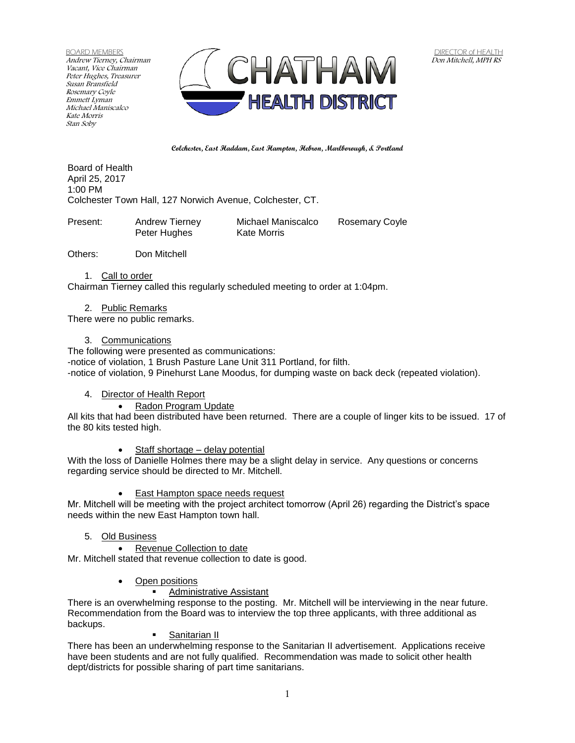BOARD MEMBERS Andrew Tierney, Chairman Vacant, Vice Chairman Peter Hughes, Treasurer Susan Bransfield Rosemary Coyle Emmett Lyman Michael Maniscalco Kate Morris Stan Soby



**Colchester, East Haddam, East Hampton, Hebron, Marlborough, & Portland**

Board of Health April 25, 2017 1:00 PM Colchester Town Hall, 127 Norwich Avenue, Colchester, CT.

| Present: | Andrew Tierney | Michael Maniscalco | <b>Rosemary Coyle</b> |
|----------|----------------|--------------------|-----------------------|
|          | Peter Hughes   | Kate Morris        |                       |

Others: Don Mitchell

1. Call to order

Chairman Tierney called this regularly scheduled meeting to order at 1:04pm.

2. Public Remarks

There were no public remarks.

3. Communications

The following were presented as communications: -notice of violation, 1 Brush Pasture Lane Unit 311 Portland, for filth. -notice of violation, 9 Pinehurst Lane Moodus, for dumping waste on back deck (repeated violation).

## 4. Director of Health Report

Radon Program Update

All kits that had been distributed have been returned. There are a couple of linger kits to be issued. 17 of the 80 kits tested high.

• Staff shortage – delay potential

With the loss of Danielle Holmes there may be a slight delay in service. Any questions or concerns regarding service should be directed to Mr. Mitchell.

East Hampton space needs request

Mr. Mitchell will be meeting with the project architect tomorrow (April 26) regarding the District's space needs within the new East Hampton town hall.

- 5. Old Business
	- Revenue Collection to date

Mr. Mitchell stated that revenue collection to date is good.

- Open positions
	- **Administrative Assistant**

There is an overwhelming response to the posting. Mr. Mitchell will be interviewing in the near future. Recommendation from the Board was to interview the top three applicants, with three additional as backups.

### Sanitarian II

There has been an underwhelming response to the Sanitarian II advertisement. Applications receive have been students and are not fully qualified. Recommendation was made to solicit other health dept/districts for possible sharing of part time sanitarians.